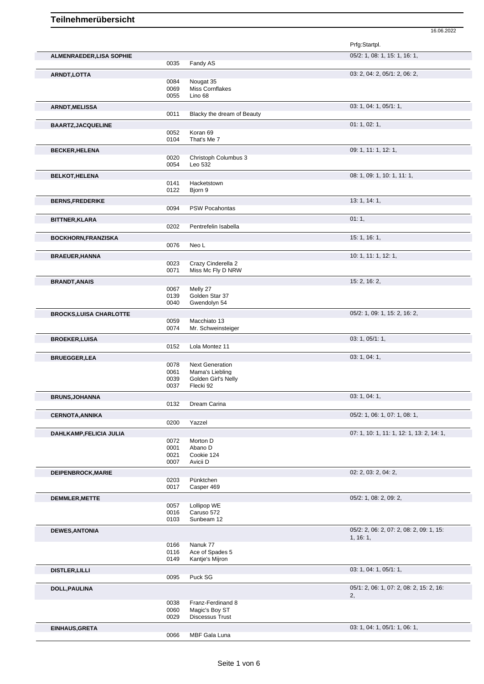|                                 |              |                                     | Prfg:Startpl.                             |
|---------------------------------|--------------|-------------------------------------|-------------------------------------------|
| <b>ALMENRAEDER, LISA SOPHIE</b> |              |                                     | 05/2: 1, 08: 1, 15: 1, 16: 1,             |
|                                 | 0035         | Fandy AS                            |                                           |
| <b>ARNDT,LOTTA</b>              |              |                                     | 03: 2, 04: 2, 05/1: 2, 06: 2,             |
|                                 | 0084<br>0069 | Nougat 35<br>Miss Cornflakes        |                                           |
|                                 | 0055         | Lino 68                             |                                           |
| <b>ARNDT, MELISSA</b>           | 0011         | Blacky the dream of Beauty          | 03: 1, 04: 1, 05/1: 1,                    |
|                                 |              |                                     |                                           |
| <b>BAARTZ, JACQUELINE</b>       | 0052         | Koran 69                            | 01: 1, 02: 1,                             |
|                                 | 0104         | That's Me 7                         |                                           |
| <b>BECKER, HELENA</b>           |              |                                     | 09: 1, 11: 1, 12: 1,                      |
|                                 | 0020<br>0054 | Christoph Columbus 3<br>Leo 532     |                                           |
|                                 |              |                                     |                                           |
| <b>BELKOT, HELENA</b>           | 0141         | Hacketstown                         | 08: 1, 09: 1, 10: 1, 11: 1,               |
|                                 | 0122         | Bjorn 9                             |                                           |
| <b>BERNS, FREDERIKE</b>         |              |                                     | 13: 1, 14: 1,                             |
|                                 | 0094         | <b>PSW Pocahontas</b>               |                                           |
| <b>BITTNER, KLARA</b>           |              |                                     | 01:1,                                     |
|                                 | 0202         | Pentrefelin Isabella                |                                           |
| BOCKHORN, FRANZISKA             |              |                                     | 15:1, 16:1,                               |
|                                 | 0076         | Neo L                               |                                           |
| <b>BRAEUER, HANNA</b>           |              |                                     | 10: 1, 11: 1, 12: 1,                      |
|                                 | 0023         | Crazy Cinderella 2                  |                                           |
|                                 | 0071         | Miss Mc Fly D NRW                   |                                           |
| <b>BRANDT, ANAIS</b>            |              |                                     | 15: 2, 16: 2,                             |
|                                 | 0067<br>0139 | Melly 27<br>Golden Star 37          |                                           |
|                                 | 0040         | Gwendolyn 54                        |                                           |
| <b>BROCKS, LUISA CHARLOTTE</b>  |              |                                     | 05/2: 1, 09: 1, 15: 2, 16: 2,             |
|                                 | 0059         | Macchiato 13                        |                                           |
|                                 | 0074         | Mr. Schweinsteiger                  |                                           |
| <b>BROEKER, LUISA</b>           |              |                                     | 03: 1, 05/1: 1,                           |
|                                 | 0152         | Lola Montez 11                      |                                           |
| <b>BRUEGGER,LEA</b>             | 0078         | <b>Next Generation</b>              | 03: 1, 04: 1,                             |
|                                 | 0061         | Mama's Liebling                     |                                           |
|                                 | 0039         | Golden Girl's Nelly                 |                                           |
|                                 | 0037         | Flecki 92                           |                                           |
| <b>BRUNS, JOHANNA</b>           |              |                                     | 03: 1, 04: 1,                             |
|                                 | 0132         | Dream Carina                        |                                           |
| <b>CERNOTA, ANNIKA</b>          | 0200         | Yazzel                              | 05/2: 1, 06: 1, 07: 1, 08: 1,             |
|                                 |              |                                     |                                           |
| DAHLKAMP, FELICIA JULIA         | 0072         | Morton D                            | 07: 1, 10: 1, 11: 1, 12: 1, 13: 2, 14: 1, |
|                                 | 0001         | Abano D                             |                                           |
|                                 | 0021         | Cookie 124                          |                                           |
|                                 | 0007         | Avicii D                            |                                           |
| DEIPENBROCK, MARIE              |              |                                     | 02: 2, 03: 2, 04: 2,                      |
|                                 | 0203<br>0017 | Pünktchen<br>Casper 469             |                                           |
|                                 |              |                                     | $05/2$ : 1, 08: 2, 09: 2,                 |
| <b>DEMMLER, METTE</b>           | 0057         | Lollipop WE                         |                                           |
|                                 | 0016         | Caruso 572                          |                                           |
|                                 | 0103         | Sunbeam 12                          |                                           |
| <b>DEWES, ANTONIA</b>           |              |                                     | 05/2: 2, 06: 2, 07: 2, 08: 2, 09: 1, 15:  |
|                                 | 0166         | Nanuk 77                            | 1, 16:1,                                  |
|                                 | 0116         | Ace of Spades 5                     |                                           |
|                                 | 0149         | Kantje's Mijron                     |                                           |
| <b>DISTLER, LILLI</b>           |              |                                     | 03: 1, 04: 1, 05/1: 1,                    |
|                                 | 0095         | Puck SG                             |                                           |
| DOLL, PAULINA                   |              |                                     | 05/1: 2, 06: 1, 07: 2, 08: 2, 15: 2, 16:  |
|                                 |              |                                     | 2,                                        |
|                                 | 0038<br>0060 | Franz-Ferdinand 8<br>Magic's Boy ST |                                           |
|                                 | 0029         | <b>Discessus Trust</b>              |                                           |
|                                 |              |                                     | 03: 1, 04: 1, 05/1: 1, 06: 1,             |
| EINHAUS, GRETA                  |              |                                     |                                           |
|                                 | 0066         | MBF Gala Luna                       |                                           |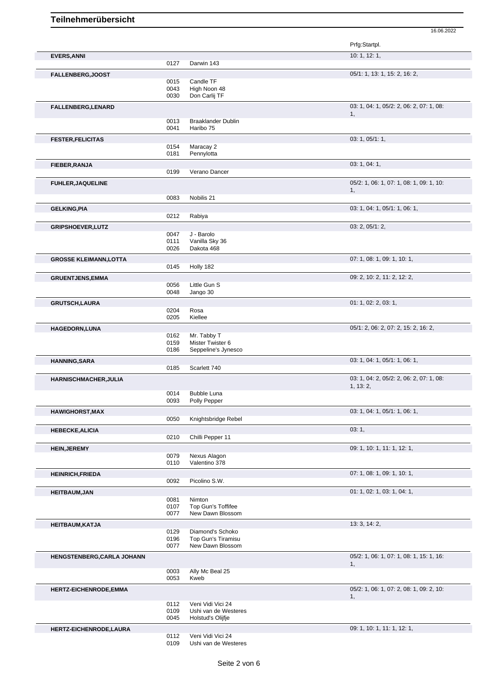|                               |              |                                           | Prfg:Startpl.                                  |
|-------------------------------|--------------|-------------------------------------------|------------------------------------------------|
| <b>EVERS, ANNI</b>            | 0127         | Darwin 143                                | 10: 1, 12: 1,                                  |
| <b>FALLENBERG, JOOST</b>      |              |                                           | 05/1: 1, 13: 1, 15: 2, 16: 2,                  |
|                               | 0015         | Candle TF                                 |                                                |
|                               | 0043         | High Noon 48                              |                                                |
|                               | 0030         | Don Carlij TF                             |                                                |
| <b>FALLENBERG,LENARD</b>      |              |                                           | 03: 1, 04: 1, 05/2: 2, 06: 2, 07: 1, 08:<br>1, |
|                               | 0013         | <b>Braaklander Dublin</b>                 |                                                |
|                               | 0041         | Haribo 75                                 |                                                |
| <b>FESTER, FELICITAS</b>      |              |                                           | 03: 1, 05/1: 1,                                |
|                               | 0154         | Maracay 2                                 |                                                |
|                               | 0181         | Pennylotta                                |                                                |
| FIEBER, RANJA                 | 0199         | Verano Dancer                             | 03: 1, 04: 1,                                  |
|                               |              |                                           |                                                |
| <b>FUHLER, JAQUELINE</b>      |              |                                           | 05/2: 1, 06: 1, 07: 1, 08: 1, 09: 1, 10:<br>1, |
|                               | 0083         | Nobilis 21                                |                                                |
| <b>GELKING, PIA</b>           |              |                                           | 03: 1, 04: 1, 05/1: 1, 06: 1,                  |
|                               | 0212         | Rabiya                                    |                                                |
| <b>GRIPSHOEVER, LUTZ</b>      |              |                                           | 03: 2, 05/1: 2,                                |
|                               | 0047         | J - Barolo                                |                                                |
|                               | 0111<br>0026 | Vanilla Sky 36<br>Dakota 468              |                                                |
|                               |              |                                           | 07: 1, 08: 1, 09: 1, 10: 1,                    |
| <b>GROSSE KLEIMANN, LOTTA</b> | 0145         | Holly 182                                 |                                                |
| <b>GRUENTJENS, EMMA</b>       |              |                                           | 09: 2, 10: 2, 11: 2, 12: 2,                    |
|                               | 0056         | Little Gun S                              |                                                |
|                               | 0048         | Jango 30                                  |                                                |
| <b>GRUTSCH,LAURA</b>          |              |                                           | 01: 1, 02: 2, 03: 1,                           |
|                               | 0204         | Rosa                                      |                                                |
|                               | 0205         | Kiellee                                   |                                                |
| <b>HAGEDORN,LUNA</b>          |              | Mr. Tabby T                               | 05/1: 2, 06: 2, 07: 2, 15: 2, 16: 2,           |
|                               | 0162<br>0159 | Mister Twister 6                          |                                                |
|                               | 0186         | Seppeline's Jynesco                       |                                                |
| <b>HANNING, SARA</b>          |              |                                           | 03: 1, 04: 1, 05/1: 1, 06: 1,                  |
|                               | 0185         | Scarlett 740                              |                                                |
| <b>HARNISCHMACHER, JULIA</b>  |              |                                           | 03: 1, 04: 2, 05/2: 2, 06: 2, 07: 1, 08:       |
|                               | 0014         |                                           | 1, 13: 2,                                      |
|                               | 0093         | <b>Bubble Luna</b><br>Polly Pepper        |                                                |
| <b>HAWIGHORST, MAX</b>        |              |                                           | 03: 1, 04: 1, 05/1: 1, 06: 1,                  |
|                               | 0050         | Knightsbridge Rebel                       |                                                |
| <b>HEBECKE, ALICIA</b>        |              |                                           | 03:1,                                          |
|                               | 0210         | Chilli Pepper 11                          |                                                |
| <b>HEIN, JEREMY</b>           |              |                                           | 09: 1, 10: 1, 11: 1, 12: 1,                    |
|                               | 0079         | Nexus Alagon                              |                                                |
|                               | 0110         | Valentino 378                             |                                                |
| <b>HEINRICH, FRIEDA</b>       |              |                                           | 07: 1, 08: 1, 09: 1, 10: 1,                    |
|                               | 0092         | Picolino S.W.                             |                                                |
| <b>HEITBAUM, JAN</b>          |              |                                           | 01: 1, 02: 1, 03: 1, 04: 1,                    |
|                               | 0081<br>0107 | Nimton<br>Top Gun's Toffifee              |                                                |
|                               | 0077         | New Dawn Blossom                          |                                                |
| <b>HEITBAUM, KATJA</b>        |              |                                           | 13: 3, 14: 2,                                  |
|                               | 0129         | Diamond's Schoko                          |                                                |
|                               | 0196<br>0077 | Top Gun's Tiramisu<br>New Dawn Blossom    |                                                |
|                               |              |                                           | 05/2: 1, 06: 1, 07: 1, 08: 1, 15: 1, 16:       |
| HENGSTENBERG, CARLA JOHANN    |              |                                           | 1,                                             |
|                               | 0003         | Ally Mc Beal 25                           |                                                |
|                               | 0053         | Kweb                                      |                                                |
| <b>HERTZ-EICHENRODE,EMMA</b>  |              |                                           | 05/2: 1, 06: 1, 07: 2, 08: 1, 09: 2, 10:       |
|                               |              |                                           | 1,                                             |
|                               | 0112<br>0109 | Veni Vidi Vici 24<br>Ushi van de Westeres |                                                |
|                               | 0045         | Holstud's Olijfje                         |                                                |
| HERTZ-EICHENRODE,LAURA        |              |                                           | 09: 1, 10: 1, 11: 1, 12: 1,                    |
|                               | 0112         | Veni Vidi Vici 24                         |                                                |
|                               | 0109         | Ushi van de Westeres                      |                                                |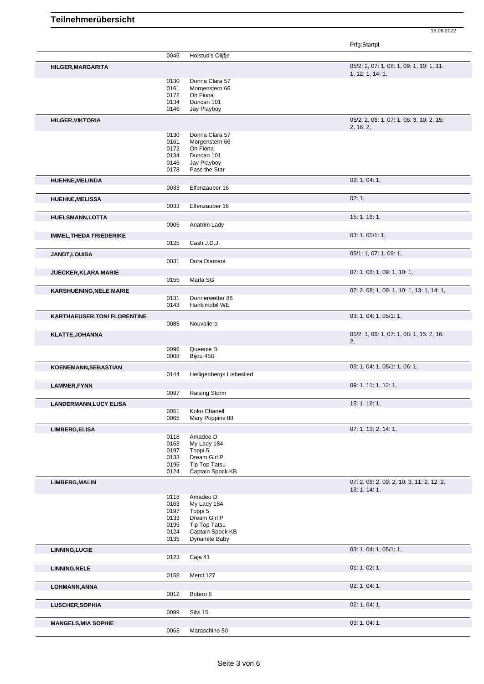16.06.2022

Prfg:Startpl.

| Holstud's Olijfje<br>0045<br>05/2: 2, 07: 1, 08: 1, 09: 1, 10: 1, 11:<br>HILGER, MARGARITA<br>1, 12: 1, 14: 1,<br>Donna Clara 57<br>0130<br>0161<br>Morgenstern 66<br>0172<br>Oh Fiona<br>0134<br>Duncan 101<br>0146<br>Jay Playboy<br>05/2: 2, 06: 1, 07: 1, 08: 3, 10: 2, 15:<br><b>HILGER, VIKTORIA</b><br>2, 16: 2,<br>0130<br>Donna Clara 57<br>0161<br>Morgenstern 66<br>0172<br>Oh Fiona<br>0134<br>Duncan 101<br>Jay Playboy<br>0146<br>Pass the Star<br>0178<br>02: 1, 04: 1,<br><b>HUEHNE, MELINDA</b><br>0033<br>Elfenzauber 16<br>02:1,<br><b>HUEHNE, MELISSA</b><br>0033<br>Elfenzauber 16<br>15: 1, 16: 1,<br><b>HUELSMANN,LOTTA</b><br>0005<br>Anatrim Lady<br>03: 1, 05/1: 1,<br><b>IMMEL, THEDA FRIEDERIKE</b><br>0125<br>Cash J.D.J.<br>05/1: 1, 07: 1, 09: 1,<br>JANDT, LOUISA<br>0031<br>Dora Diamant<br>07: 1, 08: 1, 09: 1, 10: 1,<br><b>JUECKER, KLARA MARIE</b><br>0155<br>Marla SG<br>07: 2, 08: 1, 09: 1, 10: 1, 13: 1, 14: 1,<br><b>KARSHUENING, NELE MARIE</b><br>0131<br>Donnerwetter 86<br>0143<br>Hankimobil WE<br>03: 1, 04: 1, 05/1: 1,<br><b>KARTHAEUSER, TONI FLORENTINE</b><br>0085<br>Nouvaliero<br>05/2: 1, 06: 1, 07: 1, 08: 1, 15: 2, 16:<br><b>KLATTE, JOHANNA</b><br>2,<br>Queenie B<br>0096<br>Bijou 458<br>0008<br>03: 1, 04: 1, 05/1: 1, 06: 1,<br>KOENEMANN, SEBASTIAN<br>0144<br>Heiligenbergs Liebeslied<br>09: 1, 11: 1, 12: 1,<br><b>LAMMER, FYNN</b><br>0097<br>Raising Storm<br>15: 1, 16: 1,<br><b>LANDERMANN, LUCY ELISA</b><br>0051<br>Koko Chanell<br>0065<br>Mary Poppins 88<br>07: 1, 13: 2, 14: 1,<br>LIMBERG, ELISA<br>0118<br>Amadeo D<br>0163<br>My Lady 184<br>Toppi 5<br>0197<br>Dream Girl P<br>0133<br>0195<br>Tip Top Tatsu<br>0124<br>Captain Spock KB<br>07: 2, 08: 2, 09: 2, 10: 3, 11: 2, 12: 2,<br><b>LIMBERG, MALIN</b><br>13: 1, 14: 1,<br>0118<br>Amadeo D<br>0163<br>My Lady 184<br>0197<br>Toppi 5<br>Dream Girl P<br>0133<br>0195<br>Tip Top Tatsu<br>0124<br>Captain Spock KB<br>0135<br>Dynamite Baby<br>03: 1, 04: 1, 05/1: 1,<br><b>LINNING, LUCIE</b><br>0123<br>Caja 41<br>01: 1, 02: 1,<br>LINNING, NELE<br>0158<br>Merci 127<br>02: 1, 04: 1,<br>LOHMANN, ANNA<br>0012<br>Botero 8<br>02: 1, 04: 1,<br><b>LUSCHER, SOPHIA</b><br>0099<br>Silvi 15<br>03: 1, 04: 1,<br><b>MANGELS, MIA SOPHIE</b> |      |               |  |
|----------------------------------------------------------------------------------------------------------------------------------------------------------------------------------------------------------------------------------------------------------------------------------------------------------------------------------------------------------------------------------------------------------------------------------------------------------------------------------------------------------------------------------------------------------------------------------------------------------------------------------------------------------------------------------------------------------------------------------------------------------------------------------------------------------------------------------------------------------------------------------------------------------------------------------------------------------------------------------------------------------------------------------------------------------------------------------------------------------------------------------------------------------------------------------------------------------------------------------------------------------------------------------------------------------------------------------------------------------------------------------------------------------------------------------------------------------------------------------------------------------------------------------------------------------------------------------------------------------------------------------------------------------------------------------------------------------------------------------------------------------------------------------------------------------------------------------------------------------------------------------------------------------------------------------------------------------------------------------------------------------------------------------------------------------------------------------------------------------------------------------------------------------------------------------------------------------------------------------------------------------------------------------------|------|---------------|--|
|                                                                                                                                                                                                                                                                                                                                                                                                                                                                                                                                                                                                                                                                                                                                                                                                                                                                                                                                                                                                                                                                                                                                                                                                                                                                                                                                                                                                                                                                                                                                                                                                                                                                                                                                                                                                                                                                                                                                                                                                                                                                                                                                                                                                                                                                                        |      |               |  |
|                                                                                                                                                                                                                                                                                                                                                                                                                                                                                                                                                                                                                                                                                                                                                                                                                                                                                                                                                                                                                                                                                                                                                                                                                                                                                                                                                                                                                                                                                                                                                                                                                                                                                                                                                                                                                                                                                                                                                                                                                                                                                                                                                                                                                                                                                        |      |               |  |
|                                                                                                                                                                                                                                                                                                                                                                                                                                                                                                                                                                                                                                                                                                                                                                                                                                                                                                                                                                                                                                                                                                                                                                                                                                                                                                                                                                                                                                                                                                                                                                                                                                                                                                                                                                                                                                                                                                                                                                                                                                                                                                                                                                                                                                                                                        |      |               |  |
|                                                                                                                                                                                                                                                                                                                                                                                                                                                                                                                                                                                                                                                                                                                                                                                                                                                                                                                                                                                                                                                                                                                                                                                                                                                                                                                                                                                                                                                                                                                                                                                                                                                                                                                                                                                                                                                                                                                                                                                                                                                                                                                                                                                                                                                                                        |      |               |  |
|                                                                                                                                                                                                                                                                                                                                                                                                                                                                                                                                                                                                                                                                                                                                                                                                                                                                                                                                                                                                                                                                                                                                                                                                                                                                                                                                                                                                                                                                                                                                                                                                                                                                                                                                                                                                                                                                                                                                                                                                                                                                                                                                                                                                                                                                                        |      |               |  |
|                                                                                                                                                                                                                                                                                                                                                                                                                                                                                                                                                                                                                                                                                                                                                                                                                                                                                                                                                                                                                                                                                                                                                                                                                                                                                                                                                                                                                                                                                                                                                                                                                                                                                                                                                                                                                                                                                                                                                                                                                                                                                                                                                                                                                                                                                        |      |               |  |
|                                                                                                                                                                                                                                                                                                                                                                                                                                                                                                                                                                                                                                                                                                                                                                                                                                                                                                                                                                                                                                                                                                                                                                                                                                                                                                                                                                                                                                                                                                                                                                                                                                                                                                                                                                                                                                                                                                                                                                                                                                                                                                                                                                                                                                                                                        |      |               |  |
|                                                                                                                                                                                                                                                                                                                                                                                                                                                                                                                                                                                                                                                                                                                                                                                                                                                                                                                                                                                                                                                                                                                                                                                                                                                                                                                                                                                                                                                                                                                                                                                                                                                                                                                                                                                                                                                                                                                                                                                                                                                                                                                                                                                                                                                                                        |      |               |  |
|                                                                                                                                                                                                                                                                                                                                                                                                                                                                                                                                                                                                                                                                                                                                                                                                                                                                                                                                                                                                                                                                                                                                                                                                                                                                                                                                                                                                                                                                                                                                                                                                                                                                                                                                                                                                                                                                                                                                                                                                                                                                                                                                                                                                                                                                                        |      |               |  |
|                                                                                                                                                                                                                                                                                                                                                                                                                                                                                                                                                                                                                                                                                                                                                                                                                                                                                                                                                                                                                                                                                                                                                                                                                                                                                                                                                                                                                                                                                                                                                                                                                                                                                                                                                                                                                                                                                                                                                                                                                                                                                                                                                                                                                                                                                        |      |               |  |
|                                                                                                                                                                                                                                                                                                                                                                                                                                                                                                                                                                                                                                                                                                                                                                                                                                                                                                                                                                                                                                                                                                                                                                                                                                                                                                                                                                                                                                                                                                                                                                                                                                                                                                                                                                                                                                                                                                                                                                                                                                                                                                                                                                                                                                                                                        |      |               |  |
|                                                                                                                                                                                                                                                                                                                                                                                                                                                                                                                                                                                                                                                                                                                                                                                                                                                                                                                                                                                                                                                                                                                                                                                                                                                                                                                                                                                                                                                                                                                                                                                                                                                                                                                                                                                                                                                                                                                                                                                                                                                                                                                                                                                                                                                                                        |      |               |  |
|                                                                                                                                                                                                                                                                                                                                                                                                                                                                                                                                                                                                                                                                                                                                                                                                                                                                                                                                                                                                                                                                                                                                                                                                                                                                                                                                                                                                                                                                                                                                                                                                                                                                                                                                                                                                                                                                                                                                                                                                                                                                                                                                                                                                                                                                                        |      |               |  |
|                                                                                                                                                                                                                                                                                                                                                                                                                                                                                                                                                                                                                                                                                                                                                                                                                                                                                                                                                                                                                                                                                                                                                                                                                                                                                                                                                                                                                                                                                                                                                                                                                                                                                                                                                                                                                                                                                                                                                                                                                                                                                                                                                                                                                                                                                        |      |               |  |
|                                                                                                                                                                                                                                                                                                                                                                                                                                                                                                                                                                                                                                                                                                                                                                                                                                                                                                                                                                                                                                                                                                                                                                                                                                                                                                                                                                                                                                                                                                                                                                                                                                                                                                                                                                                                                                                                                                                                                                                                                                                                                                                                                                                                                                                                                        |      |               |  |
|                                                                                                                                                                                                                                                                                                                                                                                                                                                                                                                                                                                                                                                                                                                                                                                                                                                                                                                                                                                                                                                                                                                                                                                                                                                                                                                                                                                                                                                                                                                                                                                                                                                                                                                                                                                                                                                                                                                                                                                                                                                                                                                                                                                                                                                                                        |      |               |  |
|                                                                                                                                                                                                                                                                                                                                                                                                                                                                                                                                                                                                                                                                                                                                                                                                                                                                                                                                                                                                                                                                                                                                                                                                                                                                                                                                                                                                                                                                                                                                                                                                                                                                                                                                                                                                                                                                                                                                                                                                                                                                                                                                                                                                                                                                                        |      |               |  |
|                                                                                                                                                                                                                                                                                                                                                                                                                                                                                                                                                                                                                                                                                                                                                                                                                                                                                                                                                                                                                                                                                                                                                                                                                                                                                                                                                                                                                                                                                                                                                                                                                                                                                                                                                                                                                                                                                                                                                                                                                                                                                                                                                                                                                                                                                        |      |               |  |
|                                                                                                                                                                                                                                                                                                                                                                                                                                                                                                                                                                                                                                                                                                                                                                                                                                                                                                                                                                                                                                                                                                                                                                                                                                                                                                                                                                                                                                                                                                                                                                                                                                                                                                                                                                                                                                                                                                                                                                                                                                                                                                                                                                                                                                                                                        |      |               |  |
|                                                                                                                                                                                                                                                                                                                                                                                                                                                                                                                                                                                                                                                                                                                                                                                                                                                                                                                                                                                                                                                                                                                                                                                                                                                                                                                                                                                                                                                                                                                                                                                                                                                                                                                                                                                                                                                                                                                                                                                                                                                                                                                                                                                                                                                                                        |      |               |  |
|                                                                                                                                                                                                                                                                                                                                                                                                                                                                                                                                                                                                                                                                                                                                                                                                                                                                                                                                                                                                                                                                                                                                                                                                                                                                                                                                                                                                                                                                                                                                                                                                                                                                                                                                                                                                                                                                                                                                                                                                                                                                                                                                                                                                                                                                                        |      |               |  |
|                                                                                                                                                                                                                                                                                                                                                                                                                                                                                                                                                                                                                                                                                                                                                                                                                                                                                                                                                                                                                                                                                                                                                                                                                                                                                                                                                                                                                                                                                                                                                                                                                                                                                                                                                                                                                                                                                                                                                                                                                                                                                                                                                                                                                                                                                        |      |               |  |
|                                                                                                                                                                                                                                                                                                                                                                                                                                                                                                                                                                                                                                                                                                                                                                                                                                                                                                                                                                                                                                                                                                                                                                                                                                                                                                                                                                                                                                                                                                                                                                                                                                                                                                                                                                                                                                                                                                                                                                                                                                                                                                                                                                                                                                                                                        |      |               |  |
|                                                                                                                                                                                                                                                                                                                                                                                                                                                                                                                                                                                                                                                                                                                                                                                                                                                                                                                                                                                                                                                                                                                                                                                                                                                                                                                                                                                                                                                                                                                                                                                                                                                                                                                                                                                                                                                                                                                                                                                                                                                                                                                                                                                                                                                                                        |      |               |  |
|                                                                                                                                                                                                                                                                                                                                                                                                                                                                                                                                                                                                                                                                                                                                                                                                                                                                                                                                                                                                                                                                                                                                                                                                                                                                                                                                                                                                                                                                                                                                                                                                                                                                                                                                                                                                                                                                                                                                                                                                                                                                                                                                                                                                                                                                                        |      |               |  |
|                                                                                                                                                                                                                                                                                                                                                                                                                                                                                                                                                                                                                                                                                                                                                                                                                                                                                                                                                                                                                                                                                                                                                                                                                                                                                                                                                                                                                                                                                                                                                                                                                                                                                                                                                                                                                                                                                                                                                                                                                                                                                                                                                                                                                                                                                        |      |               |  |
|                                                                                                                                                                                                                                                                                                                                                                                                                                                                                                                                                                                                                                                                                                                                                                                                                                                                                                                                                                                                                                                                                                                                                                                                                                                                                                                                                                                                                                                                                                                                                                                                                                                                                                                                                                                                                                                                                                                                                                                                                                                                                                                                                                                                                                                                                        |      |               |  |
|                                                                                                                                                                                                                                                                                                                                                                                                                                                                                                                                                                                                                                                                                                                                                                                                                                                                                                                                                                                                                                                                                                                                                                                                                                                                                                                                                                                                                                                                                                                                                                                                                                                                                                                                                                                                                                                                                                                                                                                                                                                                                                                                                                                                                                                                                        |      |               |  |
|                                                                                                                                                                                                                                                                                                                                                                                                                                                                                                                                                                                                                                                                                                                                                                                                                                                                                                                                                                                                                                                                                                                                                                                                                                                                                                                                                                                                                                                                                                                                                                                                                                                                                                                                                                                                                                                                                                                                                                                                                                                                                                                                                                                                                                                                                        |      |               |  |
|                                                                                                                                                                                                                                                                                                                                                                                                                                                                                                                                                                                                                                                                                                                                                                                                                                                                                                                                                                                                                                                                                                                                                                                                                                                                                                                                                                                                                                                                                                                                                                                                                                                                                                                                                                                                                                                                                                                                                                                                                                                                                                                                                                                                                                                                                        |      |               |  |
|                                                                                                                                                                                                                                                                                                                                                                                                                                                                                                                                                                                                                                                                                                                                                                                                                                                                                                                                                                                                                                                                                                                                                                                                                                                                                                                                                                                                                                                                                                                                                                                                                                                                                                                                                                                                                                                                                                                                                                                                                                                                                                                                                                                                                                                                                        |      |               |  |
|                                                                                                                                                                                                                                                                                                                                                                                                                                                                                                                                                                                                                                                                                                                                                                                                                                                                                                                                                                                                                                                                                                                                                                                                                                                                                                                                                                                                                                                                                                                                                                                                                                                                                                                                                                                                                                                                                                                                                                                                                                                                                                                                                                                                                                                                                        |      |               |  |
|                                                                                                                                                                                                                                                                                                                                                                                                                                                                                                                                                                                                                                                                                                                                                                                                                                                                                                                                                                                                                                                                                                                                                                                                                                                                                                                                                                                                                                                                                                                                                                                                                                                                                                                                                                                                                                                                                                                                                                                                                                                                                                                                                                                                                                                                                        |      |               |  |
|                                                                                                                                                                                                                                                                                                                                                                                                                                                                                                                                                                                                                                                                                                                                                                                                                                                                                                                                                                                                                                                                                                                                                                                                                                                                                                                                                                                                                                                                                                                                                                                                                                                                                                                                                                                                                                                                                                                                                                                                                                                                                                                                                                                                                                                                                        |      |               |  |
|                                                                                                                                                                                                                                                                                                                                                                                                                                                                                                                                                                                                                                                                                                                                                                                                                                                                                                                                                                                                                                                                                                                                                                                                                                                                                                                                                                                                                                                                                                                                                                                                                                                                                                                                                                                                                                                                                                                                                                                                                                                                                                                                                                                                                                                                                        |      |               |  |
|                                                                                                                                                                                                                                                                                                                                                                                                                                                                                                                                                                                                                                                                                                                                                                                                                                                                                                                                                                                                                                                                                                                                                                                                                                                                                                                                                                                                                                                                                                                                                                                                                                                                                                                                                                                                                                                                                                                                                                                                                                                                                                                                                                                                                                                                                        |      |               |  |
|                                                                                                                                                                                                                                                                                                                                                                                                                                                                                                                                                                                                                                                                                                                                                                                                                                                                                                                                                                                                                                                                                                                                                                                                                                                                                                                                                                                                                                                                                                                                                                                                                                                                                                                                                                                                                                                                                                                                                                                                                                                                                                                                                                                                                                                                                        |      |               |  |
|                                                                                                                                                                                                                                                                                                                                                                                                                                                                                                                                                                                                                                                                                                                                                                                                                                                                                                                                                                                                                                                                                                                                                                                                                                                                                                                                                                                                                                                                                                                                                                                                                                                                                                                                                                                                                                                                                                                                                                                                                                                                                                                                                                                                                                                                                        |      |               |  |
|                                                                                                                                                                                                                                                                                                                                                                                                                                                                                                                                                                                                                                                                                                                                                                                                                                                                                                                                                                                                                                                                                                                                                                                                                                                                                                                                                                                                                                                                                                                                                                                                                                                                                                                                                                                                                                                                                                                                                                                                                                                                                                                                                                                                                                                                                        |      |               |  |
|                                                                                                                                                                                                                                                                                                                                                                                                                                                                                                                                                                                                                                                                                                                                                                                                                                                                                                                                                                                                                                                                                                                                                                                                                                                                                                                                                                                                                                                                                                                                                                                                                                                                                                                                                                                                                                                                                                                                                                                                                                                                                                                                                                                                                                                                                        |      |               |  |
|                                                                                                                                                                                                                                                                                                                                                                                                                                                                                                                                                                                                                                                                                                                                                                                                                                                                                                                                                                                                                                                                                                                                                                                                                                                                                                                                                                                                                                                                                                                                                                                                                                                                                                                                                                                                                                                                                                                                                                                                                                                                                                                                                                                                                                                                                        |      |               |  |
|                                                                                                                                                                                                                                                                                                                                                                                                                                                                                                                                                                                                                                                                                                                                                                                                                                                                                                                                                                                                                                                                                                                                                                                                                                                                                                                                                                                                                                                                                                                                                                                                                                                                                                                                                                                                                                                                                                                                                                                                                                                                                                                                                                                                                                                                                        |      |               |  |
|                                                                                                                                                                                                                                                                                                                                                                                                                                                                                                                                                                                                                                                                                                                                                                                                                                                                                                                                                                                                                                                                                                                                                                                                                                                                                                                                                                                                                                                                                                                                                                                                                                                                                                                                                                                                                                                                                                                                                                                                                                                                                                                                                                                                                                                                                        |      |               |  |
|                                                                                                                                                                                                                                                                                                                                                                                                                                                                                                                                                                                                                                                                                                                                                                                                                                                                                                                                                                                                                                                                                                                                                                                                                                                                                                                                                                                                                                                                                                                                                                                                                                                                                                                                                                                                                                                                                                                                                                                                                                                                                                                                                                                                                                                                                        |      |               |  |
|                                                                                                                                                                                                                                                                                                                                                                                                                                                                                                                                                                                                                                                                                                                                                                                                                                                                                                                                                                                                                                                                                                                                                                                                                                                                                                                                                                                                                                                                                                                                                                                                                                                                                                                                                                                                                                                                                                                                                                                                                                                                                                                                                                                                                                                                                        |      |               |  |
|                                                                                                                                                                                                                                                                                                                                                                                                                                                                                                                                                                                                                                                                                                                                                                                                                                                                                                                                                                                                                                                                                                                                                                                                                                                                                                                                                                                                                                                                                                                                                                                                                                                                                                                                                                                                                                                                                                                                                                                                                                                                                                                                                                                                                                                                                        |      |               |  |
|                                                                                                                                                                                                                                                                                                                                                                                                                                                                                                                                                                                                                                                                                                                                                                                                                                                                                                                                                                                                                                                                                                                                                                                                                                                                                                                                                                                                                                                                                                                                                                                                                                                                                                                                                                                                                                                                                                                                                                                                                                                                                                                                                                                                                                                                                        |      |               |  |
|                                                                                                                                                                                                                                                                                                                                                                                                                                                                                                                                                                                                                                                                                                                                                                                                                                                                                                                                                                                                                                                                                                                                                                                                                                                                                                                                                                                                                                                                                                                                                                                                                                                                                                                                                                                                                                                                                                                                                                                                                                                                                                                                                                                                                                                                                        |      |               |  |
|                                                                                                                                                                                                                                                                                                                                                                                                                                                                                                                                                                                                                                                                                                                                                                                                                                                                                                                                                                                                                                                                                                                                                                                                                                                                                                                                                                                                                                                                                                                                                                                                                                                                                                                                                                                                                                                                                                                                                                                                                                                                                                                                                                                                                                                                                        |      |               |  |
|                                                                                                                                                                                                                                                                                                                                                                                                                                                                                                                                                                                                                                                                                                                                                                                                                                                                                                                                                                                                                                                                                                                                                                                                                                                                                                                                                                                                                                                                                                                                                                                                                                                                                                                                                                                                                                                                                                                                                                                                                                                                                                                                                                                                                                                                                        |      |               |  |
|                                                                                                                                                                                                                                                                                                                                                                                                                                                                                                                                                                                                                                                                                                                                                                                                                                                                                                                                                                                                                                                                                                                                                                                                                                                                                                                                                                                                                                                                                                                                                                                                                                                                                                                                                                                                                                                                                                                                                                                                                                                                                                                                                                                                                                                                                        |      |               |  |
|                                                                                                                                                                                                                                                                                                                                                                                                                                                                                                                                                                                                                                                                                                                                                                                                                                                                                                                                                                                                                                                                                                                                                                                                                                                                                                                                                                                                                                                                                                                                                                                                                                                                                                                                                                                                                                                                                                                                                                                                                                                                                                                                                                                                                                                                                        |      |               |  |
|                                                                                                                                                                                                                                                                                                                                                                                                                                                                                                                                                                                                                                                                                                                                                                                                                                                                                                                                                                                                                                                                                                                                                                                                                                                                                                                                                                                                                                                                                                                                                                                                                                                                                                                                                                                                                                                                                                                                                                                                                                                                                                                                                                                                                                                                                        |      |               |  |
|                                                                                                                                                                                                                                                                                                                                                                                                                                                                                                                                                                                                                                                                                                                                                                                                                                                                                                                                                                                                                                                                                                                                                                                                                                                                                                                                                                                                                                                                                                                                                                                                                                                                                                                                                                                                                                                                                                                                                                                                                                                                                                                                                                                                                                                                                        |      |               |  |
|                                                                                                                                                                                                                                                                                                                                                                                                                                                                                                                                                                                                                                                                                                                                                                                                                                                                                                                                                                                                                                                                                                                                                                                                                                                                                                                                                                                                                                                                                                                                                                                                                                                                                                                                                                                                                                                                                                                                                                                                                                                                                                                                                                                                                                                                                        |      |               |  |
|                                                                                                                                                                                                                                                                                                                                                                                                                                                                                                                                                                                                                                                                                                                                                                                                                                                                                                                                                                                                                                                                                                                                                                                                                                                                                                                                                                                                                                                                                                                                                                                                                                                                                                                                                                                                                                                                                                                                                                                                                                                                                                                                                                                                                                                                                        |      |               |  |
|                                                                                                                                                                                                                                                                                                                                                                                                                                                                                                                                                                                                                                                                                                                                                                                                                                                                                                                                                                                                                                                                                                                                                                                                                                                                                                                                                                                                                                                                                                                                                                                                                                                                                                                                                                                                                                                                                                                                                                                                                                                                                                                                                                                                                                                                                        |      |               |  |
|                                                                                                                                                                                                                                                                                                                                                                                                                                                                                                                                                                                                                                                                                                                                                                                                                                                                                                                                                                                                                                                                                                                                                                                                                                                                                                                                                                                                                                                                                                                                                                                                                                                                                                                                                                                                                                                                                                                                                                                                                                                                                                                                                                                                                                                                                        |      |               |  |
|                                                                                                                                                                                                                                                                                                                                                                                                                                                                                                                                                                                                                                                                                                                                                                                                                                                                                                                                                                                                                                                                                                                                                                                                                                                                                                                                                                                                                                                                                                                                                                                                                                                                                                                                                                                                                                                                                                                                                                                                                                                                                                                                                                                                                                                                                        |      |               |  |
|                                                                                                                                                                                                                                                                                                                                                                                                                                                                                                                                                                                                                                                                                                                                                                                                                                                                                                                                                                                                                                                                                                                                                                                                                                                                                                                                                                                                                                                                                                                                                                                                                                                                                                                                                                                                                                                                                                                                                                                                                                                                                                                                                                                                                                                                                        |      |               |  |
|                                                                                                                                                                                                                                                                                                                                                                                                                                                                                                                                                                                                                                                                                                                                                                                                                                                                                                                                                                                                                                                                                                                                                                                                                                                                                                                                                                                                                                                                                                                                                                                                                                                                                                                                                                                                                                                                                                                                                                                                                                                                                                                                                                                                                                                                                        |      |               |  |
|                                                                                                                                                                                                                                                                                                                                                                                                                                                                                                                                                                                                                                                                                                                                                                                                                                                                                                                                                                                                                                                                                                                                                                                                                                                                                                                                                                                                                                                                                                                                                                                                                                                                                                                                                                                                                                                                                                                                                                                                                                                                                                                                                                                                                                                                                        |      |               |  |
|                                                                                                                                                                                                                                                                                                                                                                                                                                                                                                                                                                                                                                                                                                                                                                                                                                                                                                                                                                                                                                                                                                                                                                                                                                                                                                                                                                                                                                                                                                                                                                                                                                                                                                                                                                                                                                                                                                                                                                                                                                                                                                                                                                                                                                                                                        |      |               |  |
|                                                                                                                                                                                                                                                                                                                                                                                                                                                                                                                                                                                                                                                                                                                                                                                                                                                                                                                                                                                                                                                                                                                                                                                                                                                                                                                                                                                                                                                                                                                                                                                                                                                                                                                                                                                                                                                                                                                                                                                                                                                                                                                                                                                                                                                                                        |      |               |  |
|                                                                                                                                                                                                                                                                                                                                                                                                                                                                                                                                                                                                                                                                                                                                                                                                                                                                                                                                                                                                                                                                                                                                                                                                                                                                                                                                                                                                                                                                                                                                                                                                                                                                                                                                                                                                                                                                                                                                                                                                                                                                                                                                                                                                                                                                                        |      |               |  |
|                                                                                                                                                                                                                                                                                                                                                                                                                                                                                                                                                                                                                                                                                                                                                                                                                                                                                                                                                                                                                                                                                                                                                                                                                                                                                                                                                                                                                                                                                                                                                                                                                                                                                                                                                                                                                                                                                                                                                                                                                                                                                                                                                                                                                                                                                        |      |               |  |
|                                                                                                                                                                                                                                                                                                                                                                                                                                                                                                                                                                                                                                                                                                                                                                                                                                                                                                                                                                                                                                                                                                                                                                                                                                                                                                                                                                                                                                                                                                                                                                                                                                                                                                                                                                                                                                                                                                                                                                                                                                                                                                                                                                                                                                                                                        |      |               |  |
|                                                                                                                                                                                                                                                                                                                                                                                                                                                                                                                                                                                                                                                                                                                                                                                                                                                                                                                                                                                                                                                                                                                                                                                                                                                                                                                                                                                                                                                                                                                                                                                                                                                                                                                                                                                                                                                                                                                                                                                                                                                                                                                                                                                                                                                                                        |      |               |  |
|                                                                                                                                                                                                                                                                                                                                                                                                                                                                                                                                                                                                                                                                                                                                                                                                                                                                                                                                                                                                                                                                                                                                                                                                                                                                                                                                                                                                                                                                                                                                                                                                                                                                                                                                                                                                                                                                                                                                                                                                                                                                                                                                                                                                                                                                                        |      |               |  |
|                                                                                                                                                                                                                                                                                                                                                                                                                                                                                                                                                                                                                                                                                                                                                                                                                                                                                                                                                                                                                                                                                                                                                                                                                                                                                                                                                                                                                                                                                                                                                                                                                                                                                                                                                                                                                                                                                                                                                                                                                                                                                                                                                                                                                                                                                        |      |               |  |
|                                                                                                                                                                                                                                                                                                                                                                                                                                                                                                                                                                                                                                                                                                                                                                                                                                                                                                                                                                                                                                                                                                                                                                                                                                                                                                                                                                                                                                                                                                                                                                                                                                                                                                                                                                                                                                                                                                                                                                                                                                                                                                                                                                                                                                                                                        |      |               |  |
|                                                                                                                                                                                                                                                                                                                                                                                                                                                                                                                                                                                                                                                                                                                                                                                                                                                                                                                                                                                                                                                                                                                                                                                                                                                                                                                                                                                                                                                                                                                                                                                                                                                                                                                                                                                                                                                                                                                                                                                                                                                                                                                                                                                                                                                                                        |      |               |  |
|                                                                                                                                                                                                                                                                                                                                                                                                                                                                                                                                                                                                                                                                                                                                                                                                                                                                                                                                                                                                                                                                                                                                                                                                                                                                                                                                                                                                                                                                                                                                                                                                                                                                                                                                                                                                                                                                                                                                                                                                                                                                                                                                                                                                                                                                                        |      |               |  |
|                                                                                                                                                                                                                                                                                                                                                                                                                                                                                                                                                                                                                                                                                                                                                                                                                                                                                                                                                                                                                                                                                                                                                                                                                                                                                                                                                                                                                                                                                                                                                                                                                                                                                                                                                                                                                                                                                                                                                                                                                                                                                                                                                                                                                                                                                        |      |               |  |
|                                                                                                                                                                                                                                                                                                                                                                                                                                                                                                                                                                                                                                                                                                                                                                                                                                                                                                                                                                                                                                                                                                                                                                                                                                                                                                                                                                                                                                                                                                                                                                                                                                                                                                                                                                                                                                                                                                                                                                                                                                                                                                                                                                                                                                                                                        |      |               |  |
|                                                                                                                                                                                                                                                                                                                                                                                                                                                                                                                                                                                                                                                                                                                                                                                                                                                                                                                                                                                                                                                                                                                                                                                                                                                                                                                                                                                                                                                                                                                                                                                                                                                                                                                                                                                                                                                                                                                                                                                                                                                                                                                                                                                                                                                                                        |      |               |  |
|                                                                                                                                                                                                                                                                                                                                                                                                                                                                                                                                                                                                                                                                                                                                                                                                                                                                                                                                                                                                                                                                                                                                                                                                                                                                                                                                                                                                                                                                                                                                                                                                                                                                                                                                                                                                                                                                                                                                                                                                                                                                                                                                                                                                                                                                                        |      |               |  |
|                                                                                                                                                                                                                                                                                                                                                                                                                                                                                                                                                                                                                                                                                                                                                                                                                                                                                                                                                                                                                                                                                                                                                                                                                                                                                                                                                                                                                                                                                                                                                                                                                                                                                                                                                                                                                                                                                                                                                                                                                                                                                                                                                                                                                                                                                        |      |               |  |
|                                                                                                                                                                                                                                                                                                                                                                                                                                                                                                                                                                                                                                                                                                                                                                                                                                                                                                                                                                                                                                                                                                                                                                                                                                                                                                                                                                                                                                                                                                                                                                                                                                                                                                                                                                                                                                                                                                                                                                                                                                                                                                                                                                                                                                                                                        |      |               |  |
|                                                                                                                                                                                                                                                                                                                                                                                                                                                                                                                                                                                                                                                                                                                                                                                                                                                                                                                                                                                                                                                                                                                                                                                                                                                                                                                                                                                                                                                                                                                                                                                                                                                                                                                                                                                                                                                                                                                                                                                                                                                                                                                                                                                                                                                                                        |      |               |  |
|                                                                                                                                                                                                                                                                                                                                                                                                                                                                                                                                                                                                                                                                                                                                                                                                                                                                                                                                                                                                                                                                                                                                                                                                                                                                                                                                                                                                                                                                                                                                                                                                                                                                                                                                                                                                                                                                                                                                                                                                                                                                                                                                                                                                                                                                                        |      |               |  |
|                                                                                                                                                                                                                                                                                                                                                                                                                                                                                                                                                                                                                                                                                                                                                                                                                                                                                                                                                                                                                                                                                                                                                                                                                                                                                                                                                                                                                                                                                                                                                                                                                                                                                                                                                                                                                                                                                                                                                                                                                                                                                                                                                                                                                                                                                        |      |               |  |
|                                                                                                                                                                                                                                                                                                                                                                                                                                                                                                                                                                                                                                                                                                                                                                                                                                                                                                                                                                                                                                                                                                                                                                                                                                                                                                                                                                                                                                                                                                                                                                                                                                                                                                                                                                                                                                                                                                                                                                                                                                                                                                                                                                                                                                                                                        |      |               |  |
|                                                                                                                                                                                                                                                                                                                                                                                                                                                                                                                                                                                                                                                                                                                                                                                                                                                                                                                                                                                                                                                                                                                                                                                                                                                                                                                                                                                                                                                                                                                                                                                                                                                                                                                                                                                                                                                                                                                                                                                                                                                                                                                                                                                                                                                                                        |      |               |  |
|                                                                                                                                                                                                                                                                                                                                                                                                                                                                                                                                                                                                                                                                                                                                                                                                                                                                                                                                                                                                                                                                                                                                                                                                                                                                                                                                                                                                                                                                                                                                                                                                                                                                                                                                                                                                                                                                                                                                                                                                                                                                                                                                                                                                                                                                                        |      |               |  |
|                                                                                                                                                                                                                                                                                                                                                                                                                                                                                                                                                                                                                                                                                                                                                                                                                                                                                                                                                                                                                                                                                                                                                                                                                                                                                                                                                                                                                                                                                                                                                                                                                                                                                                                                                                                                                                                                                                                                                                                                                                                                                                                                                                                                                                                                                        |      |               |  |
|                                                                                                                                                                                                                                                                                                                                                                                                                                                                                                                                                                                                                                                                                                                                                                                                                                                                                                                                                                                                                                                                                                                                                                                                                                                                                                                                                                                                                                                                                                                                                                                                                                                                                                                                                                                                                                                                                                                                                                                                                                                                                                                                                                                                                                                                                        |      |               |  |
|                                                                                                                                                                                                                                                                                                                                                                                                                                                                                                                                                                                                                                                                                                                                                                                                                                                                                                                                                                                                                                                                                                                                                                                                                                                                                                                                                                                                                                                                                                                                                                                                                                                                                                                                                                                                                                                                                                                                                                                                                                                                                                                                                                                                                                                                                        |      |               |  |
|                                                                                                                                                                                                                                                                                                                                                                                                                                                                                                                                                                                                                                                                                                                                                                                                                                                                                                                                                                                                                                                                                                                                                                                                                                                                                                                                                                                                                                                                                                                                                                                                                                                                                                                                                                                                                                                                                                                                                                                                                                                                                                                                                                                                                                                                                        |      |               |  |
|                                                                                                                                                                                                                                                                                                                                                                                                                                                                                                                                                                                                                                                                                                                                                                                                                                                                                                                                                                                                                                                                                                                                                                                                                                                                                                                                                                                                                                                                                                                                                                                                                                                                                                                                                                                                                                                                                                                                                                                                                                                                                                                                                                                                                                                                                        | 0063 | Maraschino 50 |  |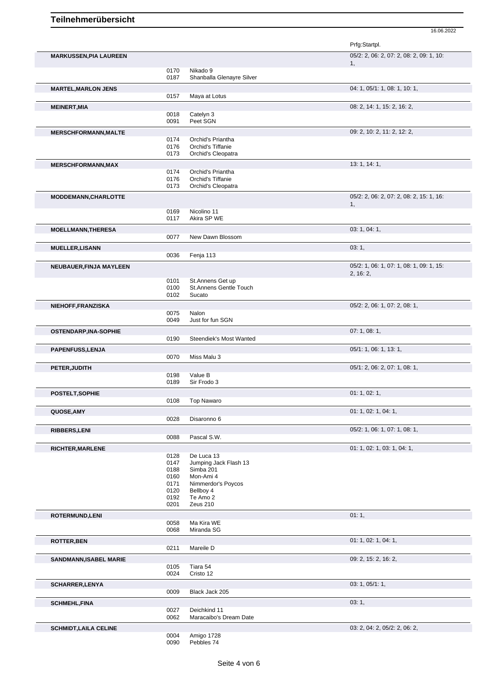|                               |              |                                        | Prfg:Startpl.                                  |
|-------------------------------|--------------|----------------------------------------|------------------------------------------------|
| <b>MARKUSSEN, PIA LAUREEN</b> |              |                                        | 05/2: 2, 06: 2, 07: 2, 08: 2, 09: 1, 10:       |
|                               | 0170         | Nikado 9                               | 1,                                             |
|                               | 0187         | Shanballa Glenayre Silver              |                                                |
| <b>MARTEL, MARLON JENS</b>    |              |                                        | 04: 1, 05/1: 1, 08: 1, 10: 1,                  |
|                               | 0157         | Maya at Lotus                          |                                                |
| <b>MEINERT, MIA</b>           | 0018         | Catelyn 3                              | 08: 2, 14: 1, 15: 2, 16: 2,                    |
|                               | 0091         | Peet SGN                               |                                                |
| <b>MERSCHFORMANN, MALTE</b>   | 0174         |                                        | 09: 2, 10: 2, 11: 2, 12: 2,                    |
|                               | 0176         | Orchid's Priantha<br>Orchid's Tiffanie |                                                |
|                               | 0173         | Orchid's Cleopatra                     |                                                |
| <b>MERSCHFORMANN, MAX</b>     | 0174         | Orchid's Priantha                      | 13: 1, 14: 1,                                  |
|                               | 0176         | Orchid's Tiffanie                      |                                                |
|                               | 0173         | Orchid's Cleopatra                     |                                                |
| <b>MODDEMANN, CHARLOTTE</b>   |              |                                        | 05/2: 2, 06: 2, 07: 2, 08: 2, 15: 1, 16:<br>1, |
|                               | 0169         | Nicolino 11                            |                                                |
|                               | 0117         | Akira SP WE                            |                                                |
| <b>MOELLMANN, THERESA</b>     | 0077         | New Dawn Blossom                       | 03: 1, 04: 1,                                  |
| <b>MUELLER, LISANN</b>        |              |                                        | 03:1,                                          |
|                               | 0036         | Fenja 113                              |                                                |
| NEUBAUER, FINJA MAYLEEN       |              |                                        | 05/2: 1, 06: 1, 07: 1, 08: 1, 09: 1, 15:       |
|                               | 0101         | St.Annens Get up                       | 2, 16: 2,                                      |
|                               | 0100         | <b>St.Annens Gentle Touch</b>          |                                                |
|                               | 0102         | Sucato                                 |                                                |
| NIEHOFF, FRANZISKA            | 0075         | Nalon                                  | 05/2: 2, 06: 1, 07: 2, 08: 1,                  |
|                               | 0049         | Just for fun SGN                       |                                                |
| <b>OSTENDARP, INA-SOPHIE</b>  | 0190         | Steendiek's Most Wanted                | 07:1,08:1,                                     |
| PAPENFUSS, LENJA              |              |                                        | 05/1: 1, 06: 1, 13: 1,                         |
|                               | 0070         | Miss Malu 3                            |                                                |
| PETER, JUDITH                 |              |                                        | 05/1: 2, 06: 2, 07: 1, 08: 1,                  |
|                               | 0198<br>0189 | Value B<br>Sir Frodo 3                 |                                                |
| POSTELT, SOPHIE               |              |                                        | 01: 1, 02: 1,                                  |
|                               | 0108         | <b>Top Nawaro</b>                      |                                                |
| QUOSE, AMY                    |              |                                        | 01: 1, 02: 1, 04: 1,                           |
|                               | 0028         | Disaronno 6                            |                                                |
| <b>RIBBERS,LENI</b>           | 0088         | Pascal S.W.                            | 05/2: 1, 06: 1, 07: 1, 08: 1,                  |
| <b>RICHTER, MARLENE</b>       |              |                                        | 01: 1, 02: 1, 03: 1, 04: 1,                    |
|                               | 0128         | De Luca 13                             |                                                |
|                               | 0147<br>0188 | Jumping Jack Flash 13<br>Simba 201     |                                                |
|                               | 0160         | Mon-Ami 4                              |                                                |
|                               | 0171<br>0120 | Nimmerdor's Poycos<br>Bellboy 4        |                                                |
|                               | 0192         | Te Amo 2                               |                                                |
|                               | 0201         | Zeus 210                               |                                                |
| ROTERMUND, LENI               | 0058         | Ma Kira WE                             | 01:1,                                          |
|                               | 0068         | Miranda SG                             |                                                |
| <b>ROTTER, BEN</b>            |              |                                        | 01: 1, 02: 1, 04: 1,                           |
|                               | 0211         | Mareile D                              | 09: 2, 15: 2, 16: 2,                           |
| SANDMANN, ISABEL MARIE        | 0105         | Tiara 54                               |                                                |
|                               | 0024         | Cristo 12                              |                                                |
| <b>SCHARRER, LENYA</b>        | 0009         | Black Jack 205                         | 03: 1, 05/1: 1,                                |
| <b>SCHMEHL, FINA</b>          |              |                                        | 03:1,                                          |
|                               | 0027         | Deichkind 11                           |                                                |
|                               | 0062         | Maracaibo's Dream Date                 |                                                |
| <b>SCHMIDT, LAILA CELINE</b>  | 0004         | Amigo 1728                             | 03: 2, 04: 2, 05/2: 2, 06: 2,                  |
|                               | 0090         | Pebbles 74                             |                                                |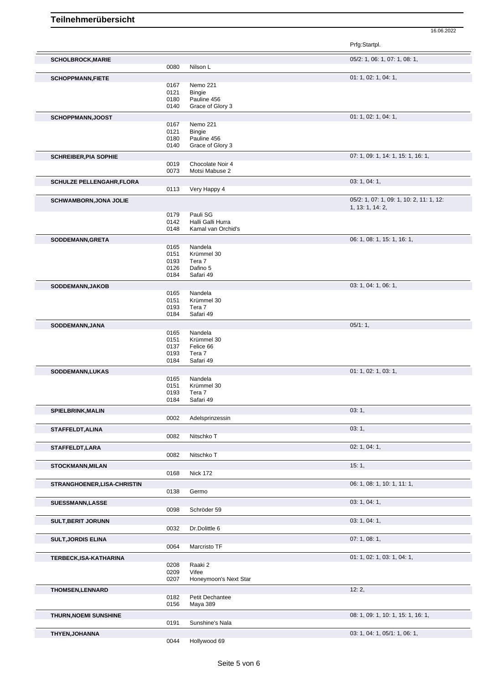|                                  |              |                                    | Prfg:Startpl.                                                |
|----------------------------------|--------------|------------------------------------|--------------------------------------------------------------|
| <b>SCHOLBROCK, MARIE</b>         |              |                                    | 05/2: 1, 06: 1, 07: 1, 08: 1,                                |
|                                  | 0080         | Nilson L                           |                                                              |
| <b>SCHOPPMANN, FIETE</b>         |              |                                    | 01: 1, 02: 1, 04: 1,                                         |
|                                  | 0167         | Nemo 221                           |                                                              |
|                                  | 0121<br>0180 | <b>Bingie</b><br>Pauline 456       |                                                              |
|                                  | 0140         | Grace of Glory 3                   |                                                              |
| SCHOPPMANN, JOOST                |              |                                    | 01: 1, 02: 1, 04: 1,                                         |
|                                  | 0167         | Nemo 221                           |                                                              |
|                                  | 0121         | <b>Bingie</b>                      |                                                              |
|                                  | 0180         | Pauline 456                        |                                                              |
|                                  | 0140         | Grace of Glory 3                   |                                                              |
| <b>SCHREIBER, PIA SOPHIE</b>     |              |                                    | 07: 1, 09: 1, 14: 1, 15: 1, 16: 1,                           |
|                                  | 0019<br>0073 | Chocolate Noir 4<br>Motsi Mabuse 2 |                                                              |
|                                  |              |                                    |                                                              |
| <b>SCHULZE PELLENGAHR, FLORA</b> | 0113         | Very Happy 4                       | 03: 1, 04: 1,                                                |
|                                  |              |                                    |                                                              |
| <b>SCHWAMBORN, JONA JOLIE</b>    |              |                                    | 05/2: 1, 07: 1, 09: 1, 10: 2, 11: 1, 12:<br>1, 13: 1, 14: 2, |
|                                  | 0179         | Pauli SG                           |                                                              |
|                                  | 0142         | Halli Galli Hurra                  |                                                              |
|                                  | 0148         | Kamal van Orchid's                 |                                                              |
| SODDEMANN, GRETA                 |              |                                    | 06: 1, 08: 1, 15: 1, 16: 1,                                  |
|                                  | 0165         | Nandela                            |                                                              |
|                                  | 0151<br>0193 | Krümmel 30<br>Tera 7               |                                                              |
|                                  | 0126         | Dafino 5                           |                                                              |
|                                  | 0184         | Safari 49                          |                                                              |
| SODDEMANN, JAKOB                 |              |                                    | 03: 1, 04: 1, 06: 1,                                         |
|                                  | 0165         | Nandela                            |                                                              |
|                                  | 0151         | Krümmel 30                         |                                                              |
|                                  | 0193         | Tera 7                             |                                                              |
|                                  | 0184         | Safari 49                          |                                                              |
| SODDEMANN, JANA                  |              |                                    | 05/1:1,                                                      |
|                                  | 0165<br>0151 | Nandela<br>Krümmel 30              |                                                              |
|                                  | 0137         | Felice 66                          |                                                              |
|                                  | 0193         | Tera 7                             |                                                              |
|                                  | 0184         | Safari 49                          |                                                              |
| SODDEMANN, LUKAS                 |              |                                    | 01: 1, 02: 1, 03: 1,                                         |
|                                  | 0165<br>0151 | Nandela<br>Krümmel 30              |                                                              |
|                                  | 0193         | Tera 7                             |                                                              |
|                                  | 0184         | Safari 49                          |                                                              |
| <b>SPIELBRINK, MALIN</b>         |              |                                    | 03:1,                                                        |
|                                  | 0002         | Adelsprinzessin                    |                                                              |
| STAFFELDT, ALINA                 |              |                                    | 03:1,                                                        |
|                                  | 0082         | Nitschko T                         |                                                              |
| STAFFELDT, LARA                  |              |                                    | 02: 1, 04: 1,                                                |
|                                  | 0082         | Nitschko T                         |                                                              |
| <b>STOCKMANN, MILAN</b>          |              |                                    | 15:1,                                                        |
|                                  | 0168         | <b>Nick 172</b>                    |                                                              |
| STRANGHOENER, LISA-CHRISTIN      |              |                                    | 06: 1, 08: 1, 10: 1, 11: 1,                                  |
|                                  | 0138         | Germo                              |                                                              |
| <b>SUESSMANN,LASSE</b>           |              |                                    | 03: 1, 04: 1,                                                |
|                                  | 0098         | Schröder 59                        |                                                              |
| <b>SULT, BERIT JORUNN</b>        |              |                                    | 03: 1, 04: 1,                                                |
|                                  | 0032         | Dr.Dolittle 6                      |                                                              |
| <b>SULT, JORDIS ELINA</b>        |              |                                    | 07:1,08:1,                                                   |
|                                  | 0064         | Marcristo TF                       |                                                              |
| TERBECK, ISA-KATHARINA           |              |                                    | 01: 1, 02: 1, 03: 1, 04: 1,                                  |
|                                  | 0208         | Raaki 2                            |                                                              |
|                                  | 0209         | Vifee<br>Honeymoon's Next Star     |                                                              |
|                                  | 0207         |                                    |                                                              |
| <b>THOMSEN,LENNARD</b>           |              |                                    | 12:2,                                                        |
|                                  | 0182<br>0156 | Petit Dechantee<br>Maya 389        |                                                              |
|                                  |              |                                    |                                                              |
| <b>THURN, NOEMI SUNSHINE</b>     | 0191         | Sunshine's Nala                    | 08: 1, 09: 1, 10: 1, 15: 1, 16: 1,                           |
|                                  |              |                                    |                                                              |
| THYEN, JOHANNA                   | 0044         | Hollywood 69                       | 03: 1, 04: 1, 05/1: 1, 06: 1,                                |
|                                  |              |                                    |                                                              |